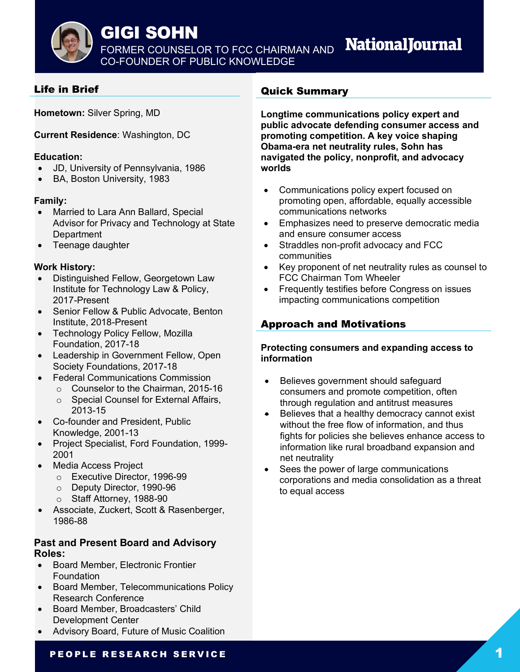

## GIGI SOHN

FORMER COUNSELOR TO FCC CHAIRMAN AND CO-FOUNDER OF PUBLIC KNOWLEDGE

# **NationalJournal**

## Life in Brief

**Hometown:** Silver Spring, MD

**Current Residence**: Washington, DC

#### **Education:**

- JD, University of Pennsylvania, 1986
- BA, Boston University, 1983

### **Family:**

- Married to Lara Ann Ballard, Special Advisor for Privacy and Technology at State **Department**
- Teenage daughter

#### **Work History:**

- Distinguished Fellow, Georgetown Law Institute for Technology Law & Policy, 2017-Present
- Senior Fellow & Public Advocate, Benton Institute, 2018-Present
- Technology Policy Fellow, Mozilla Foundation, 2017-18
- Leadership in Government Fellow, Open Society Foundations, 2017-18
- Federal Communications Commission
	- o Counselor to the Chairman, 2015-16
		- o Special Counsel for External Affairs, 2013-15
- Co-founder and President, Public Knowledge, 2001-13
- Project Specialist, Ford Foundation, 1999- 2001
- Media Access Project
	- o Executive Director, 1996-99
	- o Deputy Director, 1990-96
	- o Staff Attorney, 1988-90
- Associate, Zuckert, Scott & Rasenberger, 1986-88

### **Past and Present Board and Advisory Roles:**

- Board Member, Electronic Frontier Foundation
- Board Member, Telecommunications Policy Research Conference
- Board Member, Broadcasters' Child Development Center
- Advisory Board, Future of Music Coalition

## Quick Summary

**Longtime communications policy expert and public advocate defending consumer access and promoting competition. A key voice shaping Obama-era net neutrality rules, Sohn has navigated the policy, nonprofit, and advocacy worlds**

- Communications policy expert focused on promoting open, affordable, equally accessible communications networks
- Emphasizes need to preserve democratic media and ensure consumer access
- Straddles non-profit advocacy and FCC communities
- Key proponent of net neutrality rules as counsel to FCC Chairman Tom Wheeler
- Frequently testifies before Congress on issues impacting communications competition

## Approach and Motivations

#### **Protecting consumers and expanding access to information**

- Believes government should safeguard consumers and promote competition, often through regulation and antitrust measures
- Believes that a healthy democracy cannot exist without the free flow of information, and thus fights for policies she believes enhance access to information like rural broadband expansion and net neutrality
- Sees the power of large communications corporations and media consolidation as a threat to equal access

### PEOPLE RESEARCH SERVICE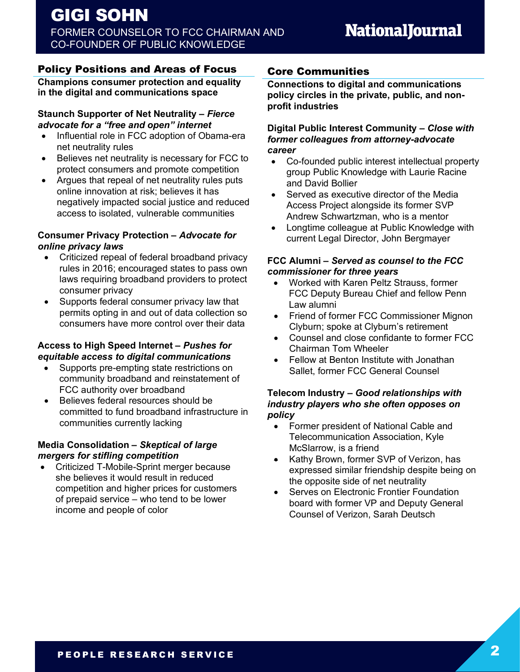## Policy Positions and Areas of Focus

**Champions consumer protection and equality**  s**in the digital and communications space**

#### **Staunch Supporter of Net Neutrality** *– Fierce advocate for a "free and open" internet*

- Influential role in FCC adoption of Obama-era net neutrality rules
- Believes net neutrality is necessary for FCC to protect consumers and promote competition
- Argues that repeal of net neutrality rules puts online innovation at risk; believes it has negatively impacted social justice and reduced access to isolated, vulnerable communities

#### **Consumer Privacy Protection** *– Advocate for online privacy laws*

- Criticized repeal of federal broadband privacy rules in 2016; encouraged states to pass own laws requiring broadband providers to protect consumer privacy
- Supports federal consumer privacy law that permits opting in and out of data collection so consumers have more control over their data

#### **Access to High Speed Internet** *– Pushes for equitable access to digital communications*

- Supports pre-empting state restrictions on community broadband and reinstatement of FCC authority over broadband
- Believes federal resources should be committed to fund broadband infrastructure in communities currently lacking

#### **Media Consolidation** *– Skeptical of large mergers for stifling competition*

• Criticized T-Mobile-Sprint merger because she believes it would result in reduced competition and higher prices for customers of prepaid service – who tend to be lower income and people of color

## Core Communities

**Connections to digital and communications policy circles in the private, public, and nonprofit industries**

#### **Digital Public Interest Community** *– Close with former colleagues from attorney-advocate career*

- Co-founded public interest intellectual property group Public Knowledge with Laurie Racine and David Bollier
- Served as executive director of the Media Access Project alongside its former SVP Andrew Schwartzman, who is a mentor
- Longtime colleague at Public Knowledge with current Legal Director, John Bergmayer

#### **FCC Alumni** *– Served as counsel to the FCC commissioner for three years*

- Worked with Karen Peltz Strauss, former FCC Deputy Bureau Chief and fellow Penn Law alumni
- Friend of former FCC Commissioner Mignon Clyburn; spoke at Clyburn's retirement
- Counsel and close confidante to former FCC Chairman Tom Wheeler
- Fellow at Benton Institute with Jonathan Sallet, former FCC General Counsel

#### **Telecom Industry** *– Good relationships with industry players who she often opposes on policy*

- Former president of National Cable and Telecommunication Association, Kyle McSlarrow, is a friend
- Kathy Brown, former SVP of Verizon, has expressed similar friendship despite being on the opposite side of net neutrality
- Serves on Electronic Frontier Foundation board with former VP and Deputy General Counsel of Verizon, Sarah Deutsch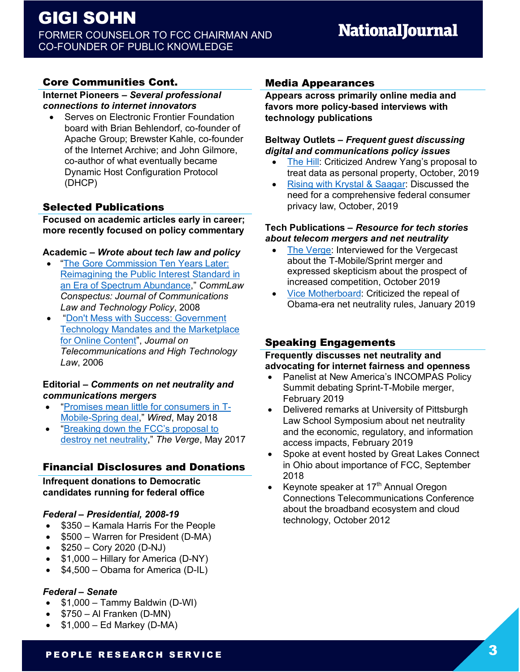## **Core Communities Cont.**

**Internet Pioneers** *– Several professional connections to internet innovators*

• Serves on Electronic Frontier Foundation board with Brian Behlendorf, co-founder of Apache Group; Brewster Kahle, co-founder of the Internet Archive; and John Gilmore, co-author of what eventually became Dynamic Host Configuration Protocol (DHCP)

## Selected Publications

**Focused on academic articles early in career; more recently focused on policy commentary** 

#### **Academic** *– Wrote about tech law and policy*

- "The Gore Commission Ten Years Later: Reimagining the Public Interest Standard in an Era of Spectrum Abundance," *CommLaw Conspectus: Journal of Communications Law and Technology Policy*, 2008
- "Don't Mess with Success: Government Technology Mandates and the Marketplace for Online Content", *Journal on Telecommunications and High Technology Law*, 2006

#### **Editorial** *– Comments on net neutrality and communications mergers*

- "Promises mean little for consumers in T-Mobile-Spring deal," *Wired*, May 2018
- "Breaking down the FCC's proposal to destroy net neutrality," *The Verge*, May 2017

## Financial Disclosures and Donations

**Infrequent donations to Democratic candidates running for federal office**

#### *Federal – Presidential, 2008-19*

- \$350 Kamala Harris For the People
- \$500 Warren for President (D-MA)
- $$250 Cory 2020 (D-NJ)$
- \$1,000 Hillary for America (D-NY)
- \$4,500 Obama for America (D-IL)

#### *Federal – Senate*

- \$1,000 Tammy Baldwin (D-WI)
- \$750 Al Franken (D-MN)
- $$1,000 Ed$  Markey (D-MA)

#### Media Appearances

**Appears across primarily online media and favors more policy-based interviews with technology publications**

#### **Beltway Outlets** *– Frequent guest discussing digital and communications policy issues*

- The Hill: Criticized Andrew Yang's proposal to treat data as personal property, October, 2019
- Rising with Krystal & Saagar: Discussed the need for a comprehensive federal consumer privacy law, October, 2019

#### **Tech Publications** *– Resource for tech stories about telecom mergers and net neutrality*

- The Verge: Interviewed for the Vergecast about the T-Mobile/Sprint merger and expressed skepticism about the prospect of increased competition, October 2019
- Vice Motherboard: Criticized the repeal of Obama-era net neutrality rules, January 2019

## Speaking Engagements

#### **Frequently discusses net neutrality and advocating for internet fairness and openness**

- Panelist at New America's INCOMPAS Policy Summit debating Sprint-T-Mobile merger, February 2019
- Delivered remarks at University of Pittsburgh Law School Symposium about net neutrality and the economic, regulatory, and information access impacts, February 2019
- Spoke at event hosted by Great Lakes Connect in Ohio about importance of FCC, September 2018
- Keynote speaker at  $17<sup>th</sup>$  Annual Oregon Connections Telecommunications Conference about the broadband ecosystem and cloud technology, October 2012